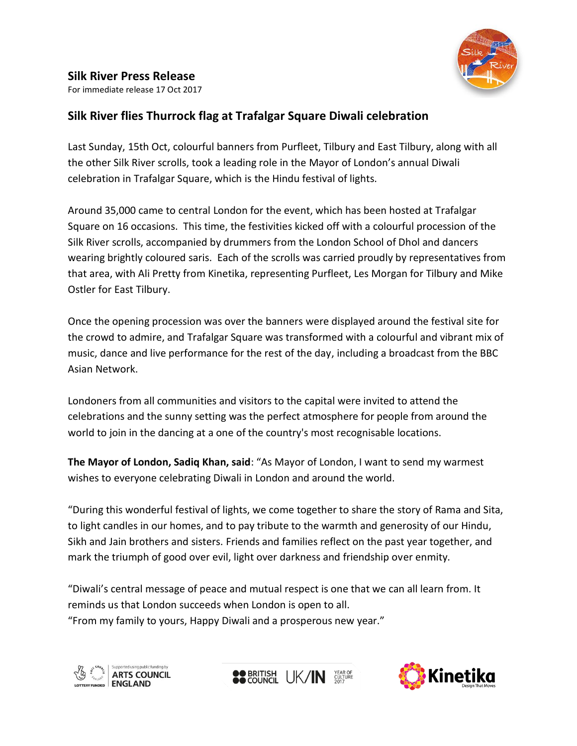

# **Silk River Press Release**

For immediate release 17 Oct 2017

# **Silk River flies Thurrock flag at Trafalgar Square Diwali celebration**

Last Sunday, 15th Oct, colourful banners from Purfleet, Tilbury and East Tilbury, along with all the other Silk River scrolls, took a leading role in the Mayor of London's annual Diwali celebration in Trafalgar Square, which is the Hindu festival of lights.

Around 35,000 came to central London for the event, which has been hosted at Trafalgar Square on 16 occasions. This time, the festivities kicked off with a colourful procession of the Silk River scrolls, accompanied by drummers from the London School of Dhol and dancers wearing brightly coloured saris. Each of the scrolls was carried proudly by representatives from that area, with Ali Pretty from Kinetika, representing Purfleet, Les Morgan for Tilbury and Mike Ostler for East Tilbury.

Once the opening procession was over the banners were displayed around the festival site for the crowd to admire, and Trafalgar Square was transformed with a colourful and vibrant mix of music, dance and live performance for the rest of the day, including a broadcast from the BBC Asian Network.

Londoners from all communities and visitors to the capital were invited to attend the celebrations and the sunny setting was the perfect atmosphere for people from around the world to join in the dancing at a one of the country's most recognisable locations.

**The Mayor of London, Sadiq Khan, said**: "As Mayor of London, I want to send my warmest wishes to everyone celebrating Diwali in London and around the world.

"During this wonderful festival of lights, we come together to share the story of Rama and Sita, to light candles in our homes, and to pay tribute to the warmth and generosity of our Hindu, Sikh and Jain brothers and sisters. Friends and families reflect on the past year together, and mark the triumph of good over evil, light over darkness and friendship over enmity.

"Diwali's central message of peace and mutual respect is one that we can all learn from. It reminds us that London succeeds when London is open to all. "From my family to yours, Happy Diwali and a prosperous new year."





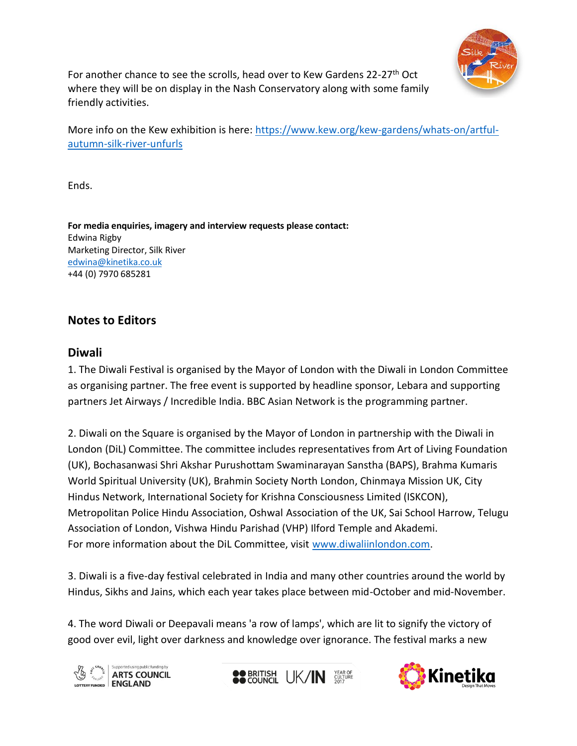

For another chance to see the scrolls, head over to Kew Gardens 22-27<sup>th</sup> Oct where they will be on display in the Nash Conservatory along with some family friendly activities.

More info on the Kew exhibition is here: [https://www.kew.org/kew-gardens/whats-on/artful](https://www.kew.org/kew-gardens/whats-on/artful-autumn-silk-river-unfurls)[autumn-silk-river-unfurls](https://www.kew.org/kew-gardens/whats-on/artful-autumn-silk-river-unfurls)

Ends.

**For media enquiries, imagery and interview requests please contact:** Edwina Rigby Marketing Director, Silk River [edwina@kinetika.co.uk](mailto:edwina@kinetika.co.uk) +44 (0) 7970 685281

# **Notes to Editors**

### **Diwali**

1. The Diwali Festival is organised by the Mayor of London with the Diwali in London Committee as organising partner. The free event is supported by headline sponsor, Lebara and supporting partners Jet Airways / Incredible India. BBC Asian Network is the programming partner.

2. Diwali on the Square is organised by the Mayor of London in partnership with the Diwali in London (DiL) Committee. The committee includes representatives from Art of Living Foundation (UK), Bochasanwasi Shri Akshar Purushottam Swaminarayan Sanstha (BAPS), Brahma Kumaris World Spiritual University (UK), Brahmin Society North London, Chinmaya Mission UK, City Hindus Network, International Society for Krishna Consciousness Limited (ISKCON), Metropolitan Police Hindu Association, Oshwal Association of the UK, Sai School Harrow, Telugu Association of London, Vishwa Hindu Parishad (VHP) Ilford Temple and Akademi. For more information about the DiL Committee, visit [www.diwaliinlondon.com.](http://www.diwaliinlondon.com/)

3. Diwali is a five-day festival celebrated in India and many other countries around the world by Hindus, Sikhs and Jains, which each year takes place between mid-October and mid-November.

4. The word Diwali or Deepavali means 'a row of lamps', which are lit to signify the victory of good over evil, light over darkness and knowledge over ignorance. The festival marks a new





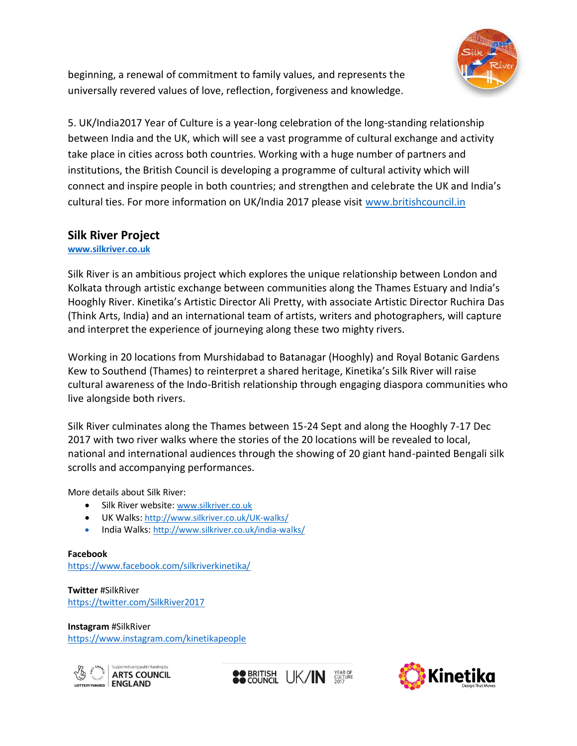

beginning, a renewal of commitment to family values, and represents the universally revered values of love, reflection, forgiveness and knowledge.

5. UK/India2017 Year of Culture is a year-long celebration of the long-standing relationship between India and the UK, which will see a vast programme of cultural exchange and activity take place in cities across both countries. Working with a huge number of partners and institutions, the British Council is developing a programme of cultural activity which will connect and inspire people in both countries; and strengthen and celebrate the UK and India's cultural ties. For more information on UK/India 2017 please visit [www.britishcouncil.in](http://www.britishcouncil.in/)

# **Silk River Project**

### **[www.silkriver.co.uk](http://www.silkriver.co.uk/)**

Silk River is an ambitious project which explores the unique relationship between London and Kolkata through artistic exchange between communities along the Thames Estuary and India's Hooghly River. Kinetika's Artistic Director Ali Pretty, with associate Artistic Director Ruchira Das (Think Arts, India) and an international team of artists, writers and photographers, will capture and interpret the experience of journeying along these two mighty rivers.

Working in 20 locations from Murshidabad to Batanagar (Hooghly) and Royal Botanic Gardens Kew to Southend (Thames) to reinterpret a shared heritage, Kinetika's Silk River will raise cultural awareness of the Indo-British relationship through engaging diaspora communities who live alongside both rivers.

Silk River culminates along the Thames between 15-24 Sept and along the Hooghly 7-17 Dec 2017 with two river walks where the stories of the 20 locations will be revealed to local, national and international audiences through the showing of 20 giant hand-painted Bengali silk scrolls and accompanying performances.

More details about Silk River:

- Silk River website: [www.silkriver.co.uk](http://www.silkriver.co.uk/)
- UK Walks: <http://www.silkriver.co.uk/UK-walks/>
- India Walks: <http://www.silkriver.co.uk/india-walks/>

**Facebook** <https://www.facebook.com/silkriverkinetika/>

**Twitter** #SilkRiver <https://twitter.com/SilkRiver2017>

**Instagram** #SilkRiver <https://www.instagram.com/kinetikapeople>